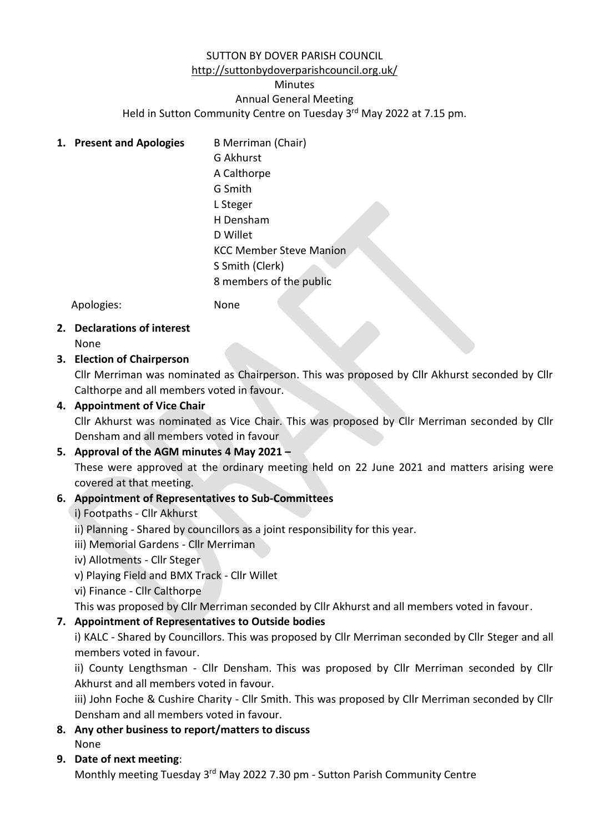# SUTTON BY DOVER PARISH COUNCIL

# [http://suttonbydoverparishcouncil.org.uk/](http://www.sutton-by-doverpc.kentparishes.gov.uk/)

# Minutes

Annual General Meeting

Held in Sutton Community Centre on Tuesday 3<sup>rd</sup> May 2022 at 7.15 pm.

**1. Present and Apologies** B Merriman (Chair) G Akhurst A Calthorpe G Smith L Steger H Densham D Willet KCC Member Steve Manion S Smith (Clerk) 8 members of the public

Apologies: None

**2. Declarations of interest** None

## **3. Election of Chairperson**

Cllr Merriman was nominated as Chairperson. This was proposed by Cllr Akhurst seconded by Cllr Calthorpe and all members voted in favour.

## **4. Appointment of Vice Chair**

Cllr Akhurst was nominated as Vice Chair. This was proposed by Cllr Merriman seconded by Cllr Densham and all members voted in favour

## **5. Approval of the AGM minutes 4 May 2021 –**

These were approved at the ordinary meeting held on 22 June 2021 and matters arising were covered at that meeting.

## **6. Appointment of Representatives to Sub-Committees**

- i) Footpaths Cllr Akhurst
- ii) Planning Shared by councillors as a joint responsibility for this year.
- iii) Memorial Gardens Cllr Merriman
- iv) Allotments Cllr Steger
- v) Playing Field and BMX Track Cllr Willet
- vi) Finance Cllr Calthorpe

This was proposed by Cllr Merriman seconded by Cllr Akhurst and all members voted in favour.

## **7. Appointment of Representatives to Outside bodies**

i) KALC - Shared by Councillors. This was proposed by Cllr Merriman seconded by Cllr Steger and all members voted in favour.

ii) County Lengthsman - Cllr Densham. This was proposed by Cllr Merriman seconded by Cllr Akhurst and all members voted in favour.

iii) John Foche & Cushire Charity - Cllr Smith. This was proposed by Cllr Merriman seconded by Cllr Densham and all members voted in favour.

**8. Any other business to report/matters to discuss**

None

## **9. Date of next meeting**:

Monthly meeting Tuesday 3<sup>rd</sup> May 2022 7.30 pm - Sutton Parish Community Centre